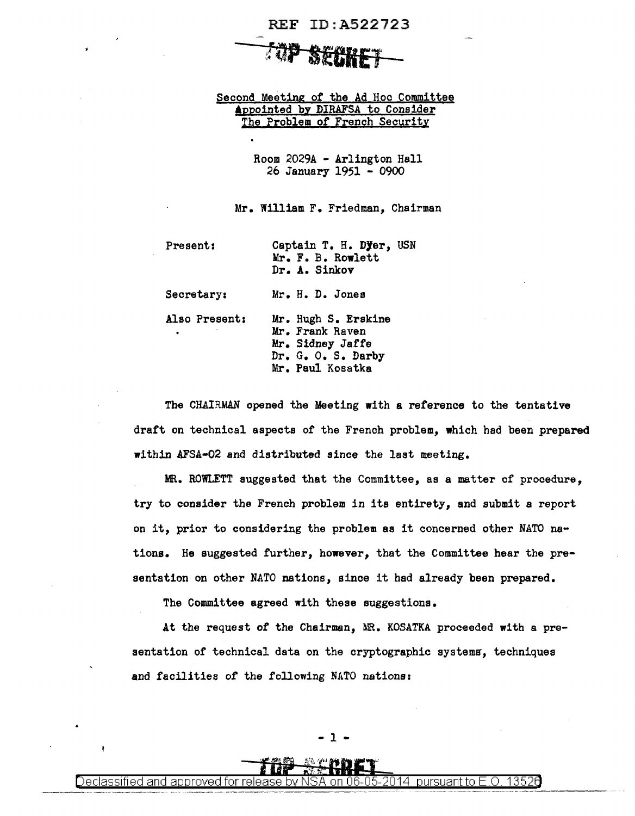## REF ID:A522723

## top secret -

Second Meeting of the Ad Hoc Committee Appointed by DIRAFSA to Consider The Problem of French Security

> Room 2029A - Arlington Hall 26 January 1951 - 0900

Mr. William F. Friedman, Chairman

Present: Captain T. H. Dyer, USN Mr. F. B. Rowlett Dr. A. Sinkov Secretary: Mr. H. D. Jones Also Present: Mr. Hugh S. Erskine Mr. Frank Raven Mr. Sidney Jaffe Dr. G. o. s. Darby Mr. Paul Kosatka

The CHAIRMAN opened the Meeting with a reference to the tentative draft on technical aspects of the French problem, which had been prepared within AFSA-02 and distributed since the last meeting.

MR. ROWLETT suggested that the Committee, as a matter of procedure, try to consider the French problem in its entirety, and submit a report on it, prior to considering the problem as it concerned other NATO nstions. He suggested further, however, that the Committee hear the presentation on other NATO nations, since it had already been prepared.

The Committee agreed with these suggestions.

At the request of the Chairman, MR. KOSATKA proceeded with a presentation of technical data on the cryptographic systems, techniques and facilities of the following NATO nations:

Declassified and approved for release by NSA on 06-05-2014  $\,$  pursuant to E.O. 13526  $\,$